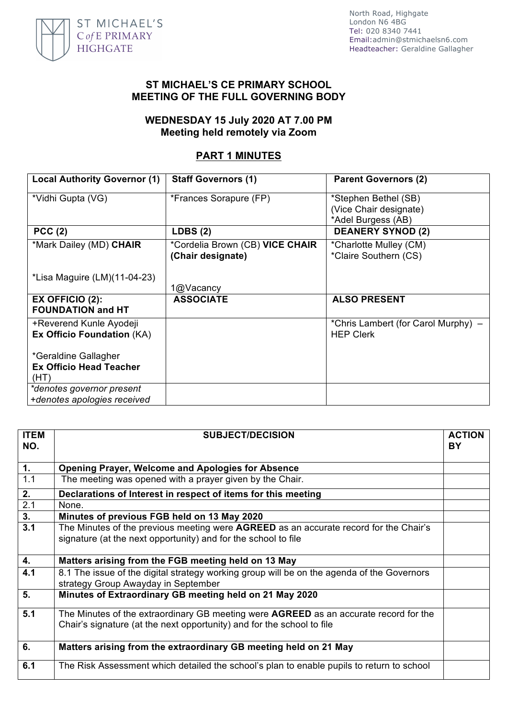

North Road, Highgate London N6 4BG Tel: 020 8340 7441 Email:admin@stmichaelsn6.com Headteacher: Geraldine Gallagher

#### **ST MICHAEL'S CE PRIMARY SCHOOL MEETING OF THE FULL GOVERNING BODY**

## **WEDNESDAY 15 July 2020 AT 7.00 PM Meeting held remotely via Zoom**

# **PART 1 MINUTES**

| <b>Local Authority Governor (1)</b>              | <b>Staff Governors (1)</b>      | <b>Parent Governors (2)</b>         |
|--------------------------------------------------|---------------------------------|-------------------------------------|
| *Vidhi Gupta (VG)                                | *Frances Sorapure (FP)          | *Stephen Bethel (SB)                |
|                                                  |                                 | (Vice Chair designate)              |
|                                                  |                                 | *Adel Burgess (AB)                  |
| PCC(2)                                           | LDBS(2)                         | <b>DEANERY SYNOD (2)</b>            |
| *Mark Dailey (MD) CHAIR                          | *Cordelia Brown (CB) VICE CHAIR | *Charlotte Mulley (CM)              |
|                                                  | (Chair designate)               | *Claire Southern (CS)               |
|                                                  |                                 |                                     |
| *Lisa Maguire (LM)(11-04-23)                     | 1@Vacancy                       |                                     |
|                                                  |                                 |                                     |
| $EX$ OFFICIO $(2)$ :<br><b>FOUNDATION and HT</b> | <b>ASSOCIATE</b>                | <b>ALSO PRESENT</b>                 |
|                                                  |                                 |                                     |
| +Reverend Kunle Ayodeji                          |                                 | *Chris Lambert (for Carol Murphy) – |
| Ex Officio Foundation (KA)                       |                                 | <b>HEP Clerk</b>                    |
| *Geraldine Gallagher                             |                                 |                                     |
| <b>Ex Officio Head Teacher</b>                   |                                 |                                     |
| (HT)                                             |                                 |                                     |
| *denotes governor present                        |                                 |                                     |
| +denotes apologies received                      |                                 |                                     |

| <b>ITEM</b><br>NO. | <b>SUBJECT/DECISION</b>                                                                                                                                                | <b>ACTION</b><br><b>BY</b> |
|--------------------|------------------------------------------------------------------------------------------------------------------------------------------------------------------------|----------------------------|
| $\overline{1}$ .   | Opening Prayer, Welcome and Apologies for Absence                                                                                                                      |                            |
| 1.1                | The meeting was opened with a prayer given by the Chair.                                                                                                               |                            |
| $2^{-}$            | Declarations of Interest in respect of items for this meeting                                                                                                          |                            |
| $\overline{2.1}$   | None.                                                                                                                                                                  |                            |
| 3.                 | Minutes of previous FGB held on 13 May 2020                                                                                                                            |                            |
| 3.1                | The Minutes of the previous meeting were <b>AGREED</b> as an accurate record for the Chair's<br>signature (at the next opportunity) and for the school to file         |                            |
| 4.                 | Matters arising from the FGB meeting held on 13 May                                                                                                                    |                            |
| 4.1                | 8.1 The issue of the digital strategy working group will be on the agenda of the Governors<br>strategy Group Awayday in September                                      |                            |
| 5.                 | Minutes of Extraordinary GB meeting held on 21 May 2020                                                                                                                |                            |
| 5.1                | The Minutes of the extraordinary GB meeting were <b>AGREED</b> as an accurate record for the<br>Chair's signature (at the next opportunity) and for the school to file |                            |
| 6.                 | Matters arising from the extraordinary GB meeting held on 21 May                                                                                                       |                            |
| 6.1                | The Risk Assessment which detailed the school's plan to enable pupils to return to school                                                                              |                            |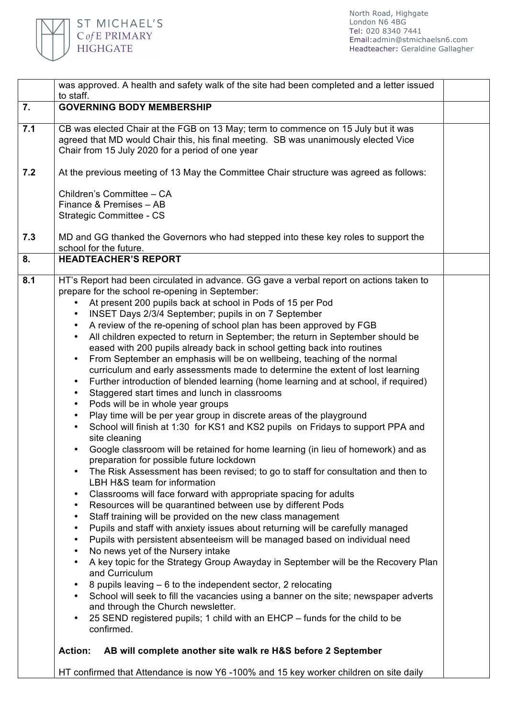

| 7.<br><b>GOVERNING BODY MEMBERSHIP</b><br>CB was elected Chair at the FGB on 13 May; term to commence on 15 July but it was<br>7.1<br>agreed that MD would Chair this, his final meeting. SB was unanimously elected Vice<br>Chair from 15 July 2020 for a period of one year<br>At the previous meeting of 13 May the Committee Chair structure was agreed as follows:<br>7.2<br>Children's Committee - CA<br>Finance & Premises - AB<br>Strategic Committee - CS<br>7.3<br>MD and GG thanked the Governors who had stepped into these key roles to support the<br>school for the future.<br><b>HEADTEACHER'S REPORT</b><br>8.<br>HT's Report had been circulated in advance. GG gave a verbal report on actions taken to<br>8.1<br>prepare for the school re-opening in September:<br>At present 200 pupils back at school in Pods of 15 per Pod<br>$\bullet$<br>INSET Days 2/3/4 September; pupils in on 7 September<br>$\bullet$<br>A review of the re-opening of school plan has been approved by FGB<br>$\bullet$<br>All children expected to return in September; the return in September should be<br>$\bullet$<br>eased with 200 pupils already back in school getting back into routines<br>From September an emphasis will be on wellbeing, teaching of the normal<br>$\bullet$<br>curriculum and early assessments made to determine the extent of lost learning<br>Further introduction of blended learning (home learning and at school, if required)<br>$\bullet$<br>Staggered start times and lunch in classrooms<br>٠<br>Pods will be in whole year groups<br>$\bullet$<br>Play time will be per year group in discrete areas of the playground<br>$\bullet$<br>School will finish at 1:30 for KS1 and KS2 pupils on Fridays to support PPA and<br>$\bullet$<br>site cleaning<br>Google classroom will be retained for home learning (in lieu of homework) and as<br>preparation for possible future lockdown<br>The Risk Assessment has been revised; to go to staff for consultation and then to<br>LBH H&S team for information<br>Classrooms will face forward with appropriate spacing for adults<br>$\bullet$<br>Resources will be quarantined between use by different Pods<br>$\bullet$<br>Staff training will be provided on the new class management<br>$\bullet$<br>Pupils and staff with anxiety issues about returning will be carefully managed<br>$\bullet$<br>Pupils with persistent absenteeism will be managed based on individual need<br>$\bullet$<br>No news yet of the Nursery intake<br>$\bullet$<br>A key topic for the Strategy Group Awayday in September will be the Recovery Plan<br>$\bullet$<br>and Curriculum<br>8 pupils leaving – 6 to the independent sector, 2 relocating<br>School will seek to fill the vacancies using a banner on the site; newspaper adverts<br>$\bullet$<br>and through the Church newsletter.<br>$\bullet$ | was approved. A health and safety walk of the site had been completed and a letter issued<br>to staff. |  |
|---------------------------------------------------------------------------------------------------------------------------------------------------------------------------------------------------------------------------------------------------------------------------------------------------------------------------------------------------------------------------------------------------------------------------------------------------------------------------------------------------------------------------------------------------------------------------------------------------------------------------------------------------------------------------------------------------------------------------------------------------------------------------------------------------------------------------------------------------------------------------------------------------------------------------------------------------------------------------------------------------------------------------------------------------------------------------------------------------------------------------------------------------------------------------------------------------------------------------------------------------------------------------------------------------------------------------------------------------------------------------------------------------------------------------------------------------------------------------------------------------------------------------------------------------------------------------------------------------------------------------------------------------------------------------------------------------------------------------------------------------------------------------------------------------------------------------------------------------------------------------------------------------------------------------------------------------------------------------------------------------------------------------------------------------------------------------------------------------------------------------------------------------------------------------------------------------------------------------------------------------------------------------------------------------------------------------------------------------------------------------------------------------------------------------------------------------------------------------------------------------------------------------------------------------------------------------------------------------------------------------------------------------------------------------------------------------------------------------------------------------------------------------------------------------------------------------------------------------------------------------------------|--------------------------------------------------------------------------------------------------------|--|
|                                                                                                                                                                                                                                                                                                                                                                                                                                                                                                                                                                                                                                                                                                                                                                                                                                                                                                                                                                                                                                                                                                                                                                                                                                                                                                                                                                                                                                                                                                                                                                                                                                                                                                                                                                                                                                                                                                                                                                                                                                                                                                                                                                                                                                                                                                                                                                                                                                                                                                                                                                                                                                                                                                                                                                                                                                                                                       |                                                                                                        |  |
|                                                                                                                                                                                                                                                                                                                                                                                                                                                                                                                                                                                                                                                                                                                                                                                                                                                                                                                                                                                                                                                                                                                                                                                                                                                                                                                                                                                                                                                                                                                                                                                                                                                                                                                                                                                                                                                                                                                                                                                                                                                                                                                                                                                                                                                                                                                                                                                                                                                                                                                                                                                                                                                                                                                                                                                                                                                                                       |                                                                                                        |  |
|                                                                                                                                                                                                                                                                                                                                                                                                                                                                                                                                                                                                                                                                                                                                                                                                                                                                                                                                                                                                                                                                                                                                                                                                                                                                                                                                                                                                                                                                                                                                                                                                                                                                                                                                                                                                                                                                                                                                                                                                                                                                                                                                                                                                                                                                                                                                                                                                                                                                                                                                                                                                                                                                                                                                                                                                                                                                                       |                                                                                                        |  |
|                                                                                                                                                                                                                                                                                                                                                                                                                                                                                                                                                                                                                                                                                                                                                                                                                                                                                                                                                                                                                                                                                                                                                                                                                                                                                                                                                                                                                                                                                                                                                                                                                                                                                                                                                                                                                                                                                                                                                                                                                                                                                                                                                                                                                                                                                                                                                                                                                                                                                                                                                                                                                                                                                                                                                                                                                                                                                       |                                                                                                        |  |
|                                                                                                                                                                                                                                                                                                                                                                                                                                                                                                                                                                                                                                                                                                                                                                                                                                                                                                                                                                                                                                                                                                                                                                                                                                                                                                                                                                                                                                                                                                                                                                                                                                                                                                                                                                                                                                                                                                                                                                                                                                                                                                                                                                                                                                                                                                                                                                                                                                                                                                                                                                                                                                                                                                                                                                                                                                                                                       |                                                                                                        |  |
|                                                                                                                                                                                                                                                                                                                                                                                                                                                                                                                                                                                                                                                                                                                                                                                                                                                                                                                                                                                                                                                                                                                                                                                                                                                                                                                                                                                                                                                                                                                                                                                                                                                                                                                                                                                                                                                                                                                                                                                                                                                                                                                                                                                                                                                                                                                                                                                                                                                                                                                                                                                                                                                                                                                                                                                                                                                                                       |                                                                                                        |  |
| confirmed.<br>AB will complete another site walk re H&S before 2 September<br><b>Action:</b><br>HT confirmed that Attendance is now Y6-100% and 15 key worker children on site daily                                                                                                                                                                                                                                                                                                                                                                                                                                                                                                                                                                                                                                                                                                                                                                                                                                                                                                                                                                                                                                                                                                                                                                                                                                                                                                                                                                                                                                                                                                                                                                                                                                                                                                                                                                                                                                                                                                                                                                                                                                                                                                                                                                                                                                                                                                                                                                                                                                                                                                                                                                                                                                                                                                  | 25 SEND registered pupils; 1 child with an EHCP - funds for the child to be                            |  |
|                                                                                                                                                                                                                                                                                                                                                                                                                                                                                                                                                                                                                                                                                                                                                                                                                                                                                                                                                                                                                                                                                                                                                                                                                                                                                                                                                                                                                                                                                                                                                                                                                                                                                                                                                                                                                                                                                                                                                                                                                                                                                                                                                                                                                                                                                                                                                                                                                                                                                                                                                                                                                                                                                                                                                                                                                                                                                       |                                                                                                        |  |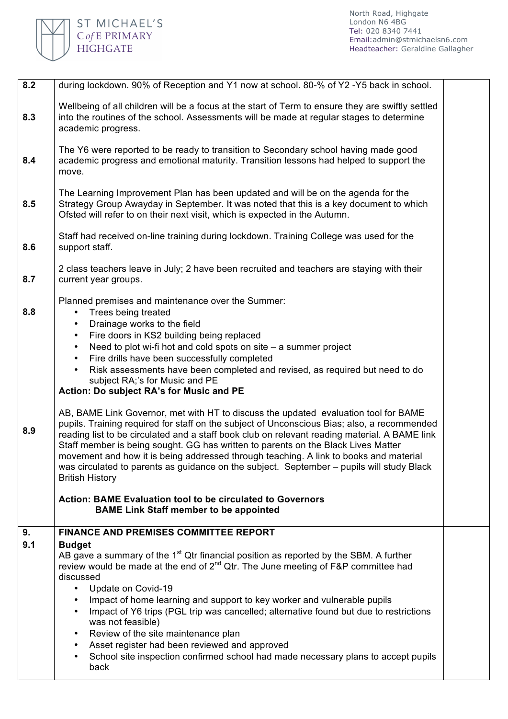

| 8.2 | during lockdown. 90% of Reception and Y1 now at school. 80-% of Y2 -Y5 back in school.                                                                                                                                                                                                                                                                                                                                                                                                                                                                                                                                                                                                                         |  |
|-----|----------------------------------------------------------------------------------------------------------------------------------------------------------------------------------------------------------------------------------------------------------------------------------------------------------------------------------------------------------------------------------------------------------------------------------------------------------------------------------------------------------------------------------------------------------------------------------------------------------------------------------------------------------------------------------------------------------------|--|
| 8.3 | Wellbeing of all children will be a focus at the start of Term to ensure they are swiftly settled<br>into the routines of the school. Assessments will be made at regular stages to determine<br>academic progress.                                                                                                                                                                                                                                                                                                                                                                                                                                                                                            |  |
| 8.4 | The Y6 were reported to be ready to transition to Secondary school having made good<br>academic progress and emotional maturity. Transition lessons had helped to support the<br>move.                                                                                                                                                                                                                                                                                                                                                                                                                                                                                                                         |  |
| 8.5 | The Learning Improvement Plan has been updated and will be on the agenda for the<br>Strategy Group Awayday in September. It was noted that this is a key document to which<br>Ofsted will refer to on their next visit, which is expected in the Autumn.                                                                                                                                                                                                                                                                                                                                                                                                                                                       |  |
| 8.6 | Staff had received on-line training during lockdown. Training College was used for the<br>support staff.                                                                                                                                                                                                                                                                                                                                                                                                                                                                                                                                                                                                       |  |
| 8.7 | 2 class teachers leave in July; 2 have been recruited and teachers are staying with their<br>current year groups.                                                                                                                                                                                                                                                                                                                                                                                                                                                                                                                                                                                              |  |
| 8.8 | Planned premises and maintenance over the Summer:<br>Trees being treated<br>Drainage works to the field<br>Fire doors in KS2 building being replaced<br>٠<br>Need to plot wi-fi hot and cold spots on site $-$ a summer project<br>Fire drills have been successfully completed<br>$\bullet$<br>Risk assessments have been completed and revised, as required but need to do<br>$\bullet$<br>subject RA;'s for Music and PE<br>Action: Do subject RA's for Music and PE                                                                                                                                                                                                                                        |  |
| 8.9 | AB, BAME Link Governor, met with HT to discuss the updated evaluation tool for BAME<br>pupils. Training required for staff on the subject of Unconscious Bias; also, a recommended<br>reading list to be circulated and a staff book club on relevant reading material. A BAME link<br>Staff member is being sought. GG has written to parents on the Black Lives Matter<br>movement and how it is being addressed through teaching. A link to books and material<br>was circulated to parents as guidance on the subject. September - pupils will study Black<br><b>British History</b><br><b>Action: BAME Evaluation tool to be circulated to Governors</b><br><b>BAME Link Staff member to be appointed</b> |  |
| 9.  | <b>FINANCE AND PREMISES COMMITTEE REPORT</b>                                                                                                                                                                                                                                                                                                                                                                                                                                                                                                                                                                                                                                                                   |  |
| 9.1 | <b>Budget</b>                                                                                                                                                                                                                                                                                                                                                                                                                                                                                                                                                                                                                                                                                                  |  |
|     | AB gave a summary of the 1 <sup>st</sup> Qtr financial position as reported by the SBM. A further<br>review would be made at the end of 2 <sup>nd</sup> Qtr. The June meeting of F&P committee had<br>discussed<br>Update on Covid-19<br>$\bullet$<br>Impact of home learning and support to key worker and vulnerable pupils<br>Impact of Y6 trips (PGL trip was cancelled; alternative found but due to restrictions<br>was not feasible)<br>Review of the site maintenance plan<br>٠<br>Asset register had been reviewed and approved<br>$\bullet$<br>School site inspection confirmed school had made necessary plans to accept pupils<br>$\bullet$<br>back                                                |  |
|     |                                                                                                                                                                                                                                                                                                                                                                                                                                                                                                                                                                                                                                                                                                                |  |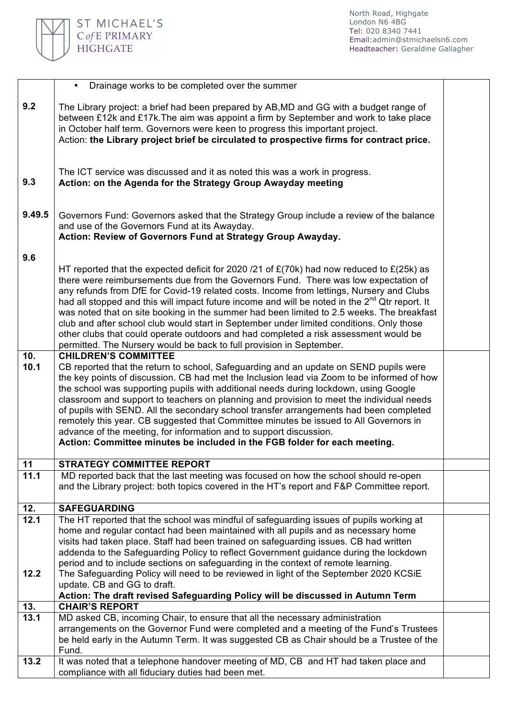

|             | • Drainage works to be completed over the summer                                                                                                                                                                                                                                                                                                                                                                                                                                                                                                                                                                                                                                                                                                        |  |
|-------------|---------------------------------------------------------------------------------------------------------------------------------------------------------------------------------------------------------------------------------------------------------------------------------------------------------------------------------------------------------------------------------------------------------------------------------------------------------------------------------------------------------------------------------------------------------------------------------------------------------------------------------------------------------------------------------------------------------------------------------------------------------|--|
| 9.2         | The Library project: a brief had been prepared by AB, MD and GG with a budget range of<br>between £12k and £17k. The aim was appoint a firm by September and work to take place<br>in October half term. Governors were keen to progress this important project.<br>Action: the Library project brief be circulated to prospective firms for contract price.                                                                                                                                                                                                                                                                                                                                                                                            |  |
| 9.3         | The ICT service was discussed and it as noted this was a work in progress.<br>Action: on the Agenda for the Strategy Group Awayday meeting                                                                                                                                                                                                                                                                                                                                                                                                                                                                                                                                                                                                              |  |
| 9.49.5      | Governors Fund: Governors asked that the Strategy Group include a review of the balance<br>and use of the Governors Fund at its Awayday.<br>Action: Review of Governors Fund at Strategy Group Awayday.                                                                                                                                                                                                                                                                                                                                                                                                                                                                                                                                                 |  |
| 9.6         | HT reported that the expected deficit for 2020 /21 of $E(70k)$ had now reduced to $E(25k)$ as<br>there were reimbursements due from the Governors Fund. There was low expectation of<br>any refunds from DfE for Covid-19 related costs. Income from lettings, Nursery and Clubs<br>had all stopped and this will impact future income and will be noted in the 2 <sup>nd</sup> Qtr report. It<br>was noted that on site booking in the summer had been limited to 2.5 weeks. The breakfast<br>club and after school club would start in September under limited conditions. Only those<br>other clubs that could operate outdoors and had completed a risk assessment would be<br>permitted. The Nursery would be back to full provision in September. |  |
| 10.<br>10.1 | <b>CHILDREN'S COMMITTEE</b><br>CB reported that the return to school, Safeguarding and an update on SEND pupils were<br>the key points of discussion. CB had met the Inclusion lead via Zoom to be informed of how<br>the school was supporting pupils with additional needs during lockdown, using Google<br>classroom and support to teachers on planning and provision to meet the individual needs<br>of pupils with SEND. All the secondary school transfer arrangements had been completed<br>remotely this year. CB suggested that Committee minutes be issued to All Governors in<br>advance of the meeting, for information and to support discussion.<br>Action: Committee minutes be included in the FGB folder for each meeting.            |  |
| 11          | <b>STRATEGY COMMITTEE REPORT</b>                                                                                                                                                                                                                                                                                                                                                                                                                                                                                                                                                                                                                                                                                                                        |  |
| 11.1        | MD reported back that the last meeting was focused on how the school should re-open<br>and the Library project: both topics covered in the HT's report and F&P Committee report.                                                                                                                                                                                                                                                                                                                                                                                                                                                                                                                                                                        |  |
| 12.         | <b>SAFEGUARDING</b>                                                                                                                                                                                                                                                                                                                                                                                                                                                                                                                                                                                                                                                                                                                                     |  |
| 12.1        | The HT reported that the school was mindful of safeguarding issues of pupils working at<br>home and regular contact had been maintained with all pupils and as necessary home<br>visits had taken place. Staff had been trained on safeguarding issues. CB had written<br>addenda to the Safeguarding Policy to reflect Government guidance during the lockdown<br>period and to include sections on safeguarding in the context of remote learning.                                                                                                                                                                                                                                                                                                    |  |
| 12.2        | The Safeguarding Policy will need to be reviewed in light of the September 2020 KCSiE<br>update. CB and GG to draft.<br>Action: The draft revised Safeguarding Policy will be discussed in Autumn Term                                                                                                                                                                                                                                                                                                                                                                                                                                                                                                                                                  |  |
| 13.         | <b>CHAIR'S REPORT</b>                                                                                                                                                                                                                                                                                                                                                                                                                                                                                                                                                                                                                                                                                                                                   |  |
| 13.1        | MD asked CB, incoming Chair, to ensure that all the necessary administration<br>arrangements on the Governor Fund were completed and a meeting of the Fund's Trustees<br>be held early in the Autumn Term. It was suggested CB as Chair should be a Trustee of the<br>Fund.                                                                                                                                                                                                                                                                                                                                                                                                                                                                             |  |
| 13.2        | It was noted that a telephone handover meeting of MD, CB and HT had taken place and<br>compliance with all fiduciary duties had been met.                                                                                                                                                                                                                                                                                                                                                                                                                                                                                                                                                                                                               |  |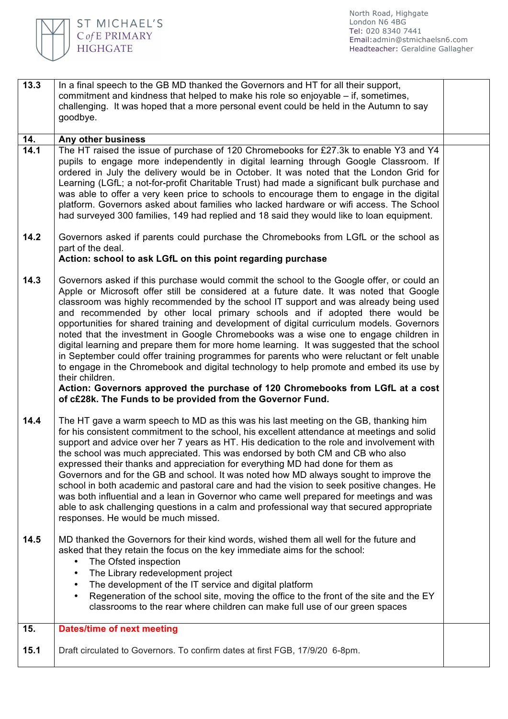

| 13.3 | In a final speech to the GB MD thanked the Governors and HT for all their support,<br>commitment and kindness that helped to make his role so enjoyable – if, sometimes,<br>challenging. It was hoped that a more personal event could be held in the Autumn to say<br>goodbye.                                                                                                                                                                                                                                                                                                                                                                                                                                                                                                                                                                                                                                                                                                                             |  |
|------|-------------------------------------------------------------------------------------------------------------------------------------------------------------------------------------------------------------------------------------------------------------------------------------------------------------------------------------------------------------------------------------------------------------------------------------------------------------------------------------------------------------------------------------------------------------------------------------------------------------------------------------------------------------------------------------------------------------------------------------------------------------------------------------------------------------------------------------------------------------------------------------------------------------------------------------------------------------------------------------------------------------|--|
| 14.  | Any other business                                                                                                                                                                                                                                                                                                                                                                                                                                                                                                                                                                                                                                                                                                                                                                                                                                                                                                                                                                                          |  |
| 14.1 | The HT raised the issue of purchase of 120 Chromebooks for £27.3k to enable Y3 and Y4<br>pupils to engage more independently in digital learning through Google Classroom. If<br>ordered in July the delivery would be in October. It was noted that the London Grid for<br>Learning (LGfL; a not-for-profit Charitable Trust) had made a significant bulk purchase and<br>was able to offer a very keen price to schools to encourage them to engage in the digital<br>platform. Governors asked about families who lacked hardware or wifi access. The School<br>had surveyed 300 families, 149 had replied and 18 said they would like to loan equipment.                                                                                                                                                                                                                                                                                                                                                |  |
| 14.2 | Governors asked if parents could purchase the Chromebooks from LGfL or the school as<br>part of the deal.<br>Action: school to ask LGfL on this point regarding purchase                                                                                                                                                                                                                                                                                                                                                                                                                                                                                                                                                                                                                                                                                                                                                                                                                                    |  |
| 14.3 | Governors asked if this purchase would commit the school to the Google offer, or could an<br>Apple or Microsoft offer still be considered at a future date. It was noted that Google<br>classroom was highly recommended by the school IT support and was already being used<br>and recommended by other local primary schools and if adopted there would be<br>opportunities for shared training and development of digital curriculum models. Governors<br>noted that the investment in Google Chromebooks was a wise one to engage children in<br>digital learning and prepare them for more home learning. It was suggested that the school<br>in September could offer training programmes for parents who were reluctant or felt unable<br>to engage in the Chromebook and digital technology to help promote and embed its use by<br>their children.<br>Action: Governors approved the purchase of 120 Chromebooks from LGfL at a cost<br>of c£28k. The Funds to be provided from the Governor Fund. |  |
| 14.4 | The HT gave a warm speech to MD as this was his last meeting on the GB, thanking him<br>for his consistent commitment to the school, his excellent attendance at meetings and solid<br>support and advice over her 7 years as HT. His dedication to the role and involvement with<br>the school was much appreciated. This was endorsed by both CM and CB who also<br>expressed their thanks and appreciation for everything MD had done for them as<br>Governors and for the GB and school. It was noted how MD always sought to improve the<br>school in both academic and pastoral care and had the vision to seek positive changes. He<br>was both influential and a lean in Governor who came well prepared for meetings and was<br>able to ask challenging questions in a calm and professional way that secured appropriate<br>responses. He would be much missed.                                                                                                                                   |  |
| 14.5 | MD thanked the Governors for their kind words, wished them all well for the future and<br>asked that they retain the focus on the key immediate aims for the school:<br>The Ofsted inspection<br>$\bullet$<br>The Library redevelopment project<br>$\bullet$<br>The development of the IT service and digital platform<br>Regeneration of the school site, moving the office to the front of the site and the EY<br>classrooms to the rear where children can make full use of our green spaces                                                                                                                                                                                                                                                                                                                                                                                                                                                                                                             |  |
| 15.  | <b>Dates/time of next meeting</b>                                                                                                                                                                                                                                                                                                                                                                                                                                                                                                                                                                                                                                                                                                                                                                                                                                                                                                                                                                           |  |
| 15.1 | Draft circulated to Governors. To confirm dates at first FGB, 17/9/20 6-8pm.                                                                                                                                                                                                                                                                                                                                                                                                                                                                                                                                                                                                                                                                                                                                                                                                                                                                                                                                |  |